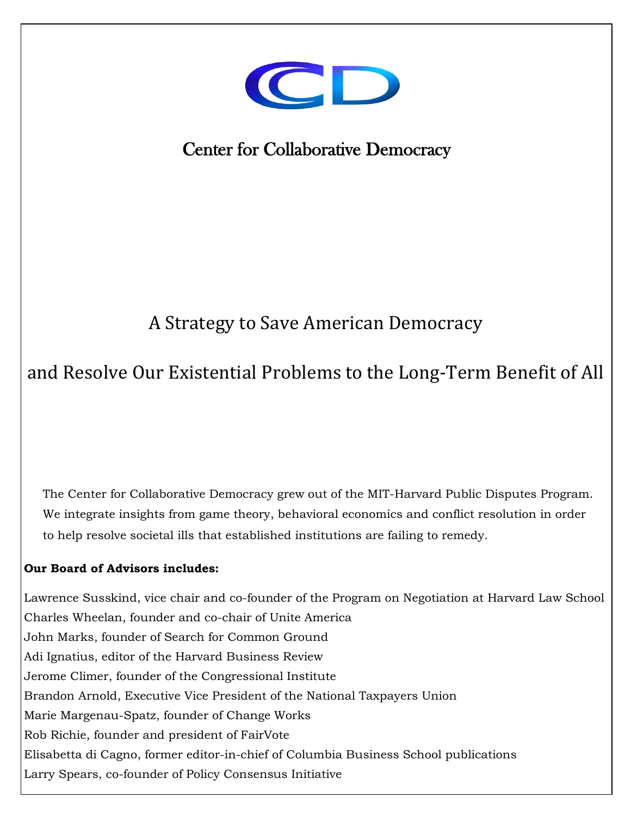

# Center for Collaborative Democracy

## A Strategy to Save American Democracy

## and Resolve Our Existential Problems to the Long-Term Benefit of All

The Center for Collaborative Democracy grew out of the MIT-Harvard Public Disputes Program. We integrate insights from game theory, behavioral economics and conflict resolution in order to help resolve societal ills that established institutions are failing to remedy.

#### **Our Board of Advisors includes:**

- 0 -  Elisabetta di Cagno, former editor-in-chief of Columbia Business School publications Lawrence Susskind, vice chair and co-founder of the Program on Negotiation at Harvard Law School Charles Wheelan, founder and co-chair of Unite America John Marks, founder of Search for Common Ground Adi Ignatius, editor of the Harvard Business Review Jerome Climer, founder of the Congressional Institute Brandon Arnold, Executive Vice President of the National Taxpayers Union Marie Margenau-Spatz, founder of Change Works Rob Richie, founder and president of FairVote Larry Spears, co-founder of Policy Consensus Initiative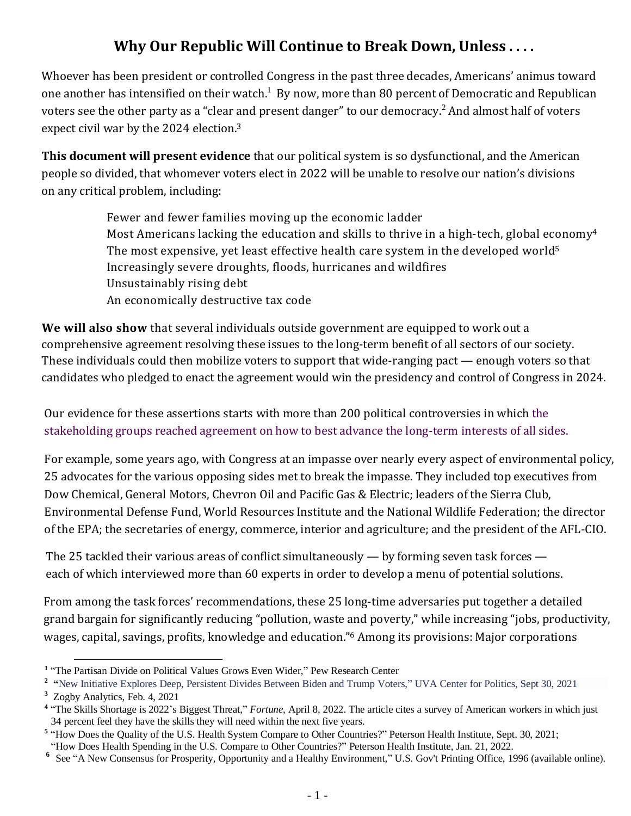## **Why Our Republic Will Continue to Break Down, Unless . . . .**

Whoever has been president or controlled Congress in the past three decades, Americans' animus toward one another has intensified on their watch.<sup>1</sup> By now, more than 80 percent of Democratic and Republican voters see the other party as a "clear and present danger" to our democracy.<sup>2</sup> And almost half of voters expect civil war by the 2024 election. 3

**This document will present evidence** that our political system is so dysfunctional, and the American people so divided, that whomever voters elect in 2022 will be unable to resolve our nation's divisions on any critical problem, including:

> Fewer and fewer families moving up the economic ladder Most Americans lacking the education and skills to thrive in a high-tech, global economy<sup>4</sup> The most expensive, yet least effective health care system in the developed world<sup>5</sup> Increasingly severe droughts, floods, hurricanes and wildfires Unsustainably rising debt An economically destructive tax code

**We will also show** that several individuals outside government are equipped to work out a comprehensive agreement resolving these issues to the long-term benefit of all sectors of our society. These individuals could then mobilize voters to support that wide-ranging pact — enough voters so that candidates who pledged to enact the agreement would win the presidency and control of Congress in 2024.

Our evidence for these assertions starts with more than 200 political controversies in which the stakeholding groups reached agreement on how to best advance the long-term interests of all sides.

For example, some years ago, with Congress at an impasse over nearly every aspect of environmental policy, 25 advocates for the various opposing sides met to break the impasse. They included top executives from Dow Chemical, General Motors, Chevron Oil and Pacific Gas & Electric; leaders of the Sierra Club, Environmental Defense Fund, World Resources Institute and the National Wildlife Federation; the director of the EPA; the secretaries of energy, commerce, interior and agriculture; and the president of the AFL-CIO.

The 25 tackled their various areas of conflict simultaneously — by forming seven task forces each of which interviewed more than 60 experts in order to develop a menu of potential solutions.

From among the task forces' recommendations, these 25 long-time adversaries put together a detailed grand bargain for significantly reducing "pollution, waste and poverty," while increasing "jobs, productivity, wages, capital, savings, profits, knowledge and education." <sup>6</sup> Among its provisions: Major corporations

<sup>&</sup>lt;sup>1</sup> "The Partisan Divide on Political Values Grows Even Wider," Pew Research Center

<sup>&</sup>lt;sup>2</sup> "New Initiative Explores Deep, Persistent Divides Between Biden and Trump Voters," UVA Center for Politics, Sept 30, 2021

**<sup>3</sup>** Zogby Analytics, Feb. 4, 2021

<sup>&</sup>lt;sup>4</sup> "The Skills Shortage is 2022's Biggest Threat," *Fortune*, April 8, 2022. The article cites a survey of American workers in which just 34 percent feel they have the skills they will need within the next five years.

<sup>&</sup>lt;sup>5</sup> "How Does the Quality of the U.S. Health System Compare to Other Countries?" Peterson Health Institute, Sept. 30, 2021;

<sup>&</sup>quot;How Does Health Spending in the U.S. Compare to Other Countries?" Peterson Health Institute, Jan. 21, 2022.

<sup>&</sup>lt;sup>6</sup> See "A New Consensus for Prosperity, Opportunity and a Healthy Environment," U.S. Gov't Printing Office, 1996 (available online).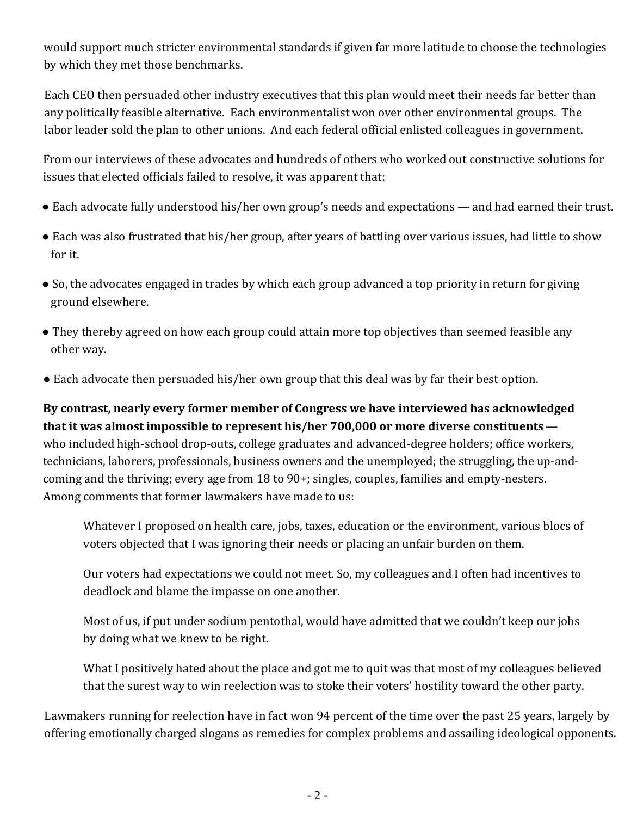would support much stricter environmental standards if given far more latitude to choose the technologies by which they met those benchmarks.

Each CEO then persuaded other industry executives that this plan would meet their needs far better than any politically feasible alternative. Each environmentalist won over other environmental groups. The labor leader sold the plan to other unions. And each federal official enlisted colleagues in government.

From our interviews of these advocates and hundreds of others who worked out constructive solutions for issues that elected officials failed to resolve, it was apparent that:

- Each advocate fully understood his/her own group's needs and expectations and had earned their trust.
- Each was also frustrated that his/her group, after years of battling over various issues, had little to show for it.
- So, the advocates engaged in trades by which each group advanced a top priority in return for giving ground elsewhere.
- They thereby agreed on how each group could attain more top objectives than seemed feasible any other way.
- Each advocate then persuaded his/her own group that this deal was by far their best option.

**By contrast, nearly every former member of Congress we have interviewed has acknowledged that it was almost impossible to represent his/her 700,000 or more diverse constituents** who included high-school drop-outs, college graduates and advanced-degree holders; office workers, technicians, laborers, professionals, business owners and the unemployed; the struggling, the up-andcoming and the thriving; every age from 18 to 90+; singles, couples, families and empty-nesters. Among comments that former lawmakers have made to us:

Whatever I proposed on health care, jobs, taxes, education or the environment, various blocs of voters objected that I was ignoring their needs or placing an unfair burden on them.

Our voters had expectations we could not meet. So, my colleagues and I often had incentives to deadlock and blame the impasse on one another.

Most of us, if put under sodium pentothal, would have admitted that we couldn't keep our jobs by doing what we knew to be right.

What I positively hated about the place and got me to quit was that most of my colleagues believed that the surest way to win reelection was to stoke their voters' hostility toward the other party.

Lawmakers running for reelection have in fact won 94 percent of the time over the past 25 years, largely by offering emotionally charged slogans as remedies for complex problems and assailing ideological opponents.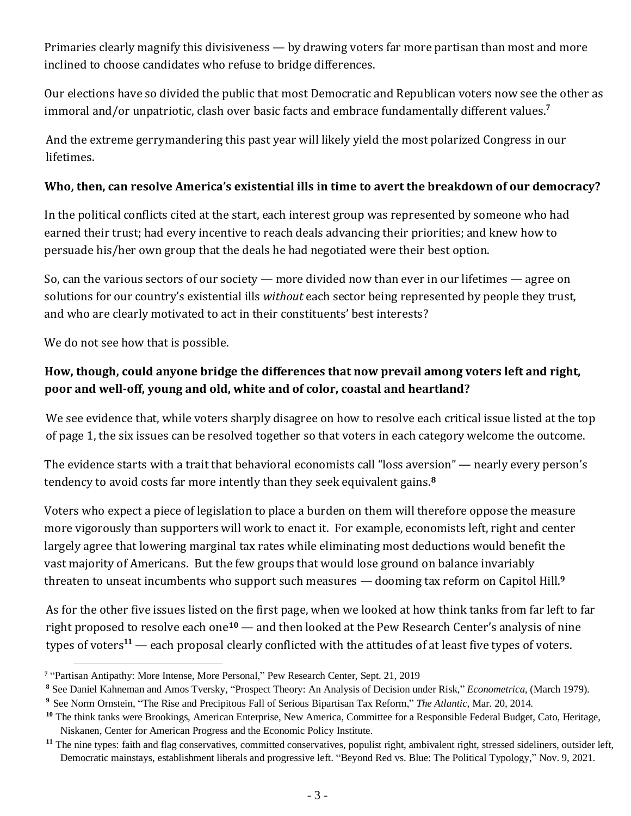Primaries clearly magnify this divisiveness — by drawing voters far more partisan than most and more inclined to choose candidates who refuse to bridge differences.

Our elections have so divided the public that most Democratic and Republican voters now see the other as immoral and/or unpatriotic, clash over basic facts and embrace fundamentally different values. **7**

And the extreme gerrymandering this past year will likely yield the most polarized Congress in our lifetimes.

#### **Who, then, can resolve America's existential ills in time to avert the breakdown of our democracy?**

In the political conflicts cited at the start, each interest group was represented by someone who had earned their trust; had every incentive to reach deals advancing their priorities; and knew how to persuade his/her own group that the deals he had negotiated were their best option.

So, can the various sectors of our society — more divided now than ever in our lifetimes — agree on solutions for our country's existential ills *without* each sector being represented by people they trust, and who are clearly motivated to act in their constituents' best interests?

We do not see how that is possible.

## **How, though, could anyone bridge the differences that now prevail among voters left and right, poor and well-off, young and old, white and of color, coastal and heartland?**

We see evidence that, while voters sharply disagree on how to resolve each critical issue listed at the top of page 1, the six issues can be resolved together so that voters in each category welcome the outcome.

The evidence starts with a trait that behavioral economists call "loss aversion" — nearly every person's tendency to avoid costs far more intently than they seek equivalent gains. **8**

Voters who expect a piece of legislation to place a burden on them will therefore oppose the measure more vigorously than supporters will work to enact it. For example, economists left, right and center largely agree that lowering marginal tax rates while eliminating most deductions would benefit the vast majority of Americans. But the few groups that would lose ground on balance invariably threaten to unseat incumbents who support such measures — dooming tax reform on Capitol Hill. **9**

As for the other five issues listed on the first page, when we looked at how think tanks from far left to far right proposed to resolve each one**<sup>10</sup>** — and then looked at the Pew Research Center's analysis of nine types of voters**<sup>11</sup>** — each proposal clearly conflicted with the attitudes of at least five types of voters.

**<sup>7</sup>** "Partisan Antipathy: More Intense, More Personal," Pew Research Center, Sept. 21, 2019

**<sup>8</sup>** See Daniel Kahneman and Amos Tversky, "Prospect Theory: An Analysis of Decision under Risk," *Econometrica,* (March 1979).

**<sup>9</sup>** See Norm Ornstein, "The Rise and Precipitous Fall of Serious Bipartisan Tax Reform," *The Atlantic*, Mar. 20, 2014.

<sup>&</sup>lt;sup>10</sup> The think tanks were Brookings, American Enterprise, New America, Committee for a Responsible Federal Budget, Cato, Heritage, Niskanen, Center for American Progress and the Economic Policy Institute.

<sup>&</sup>lt;sup>11</sup> The nine types: faith and flag conservatives, committed conservatives, populist right, ambivalent right, stressed sideliners, outsider left, Democratic mainstays, establishment liberals and progressive left. "Beyond Red vs. Blue: The Political Typology," Nov. 9, 2021.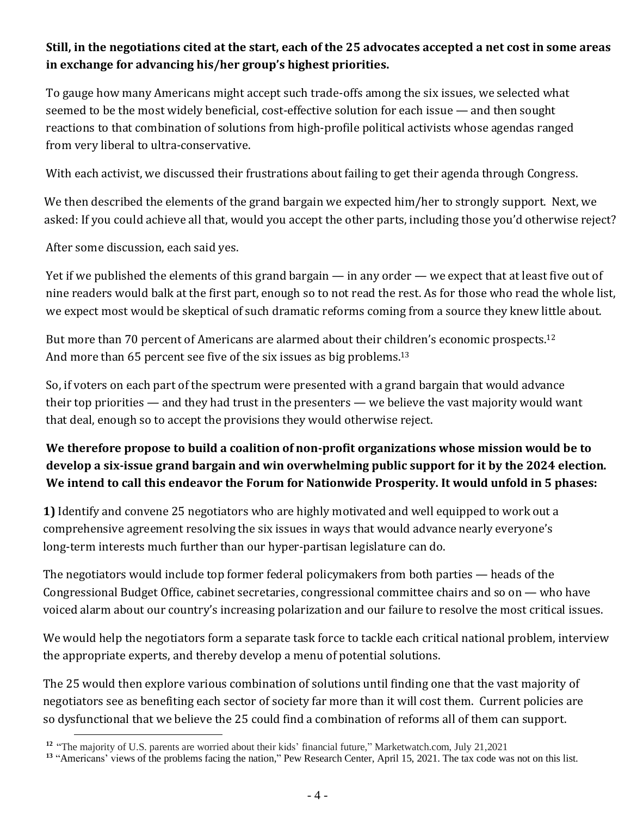### **Still, in the negotiations cited at the start, each of the 25 advocates accepted a net cost in some areas in exchange for advancing his/her group's highest priorities.**

To gauge how many Americans might accept such trade-offs among the six issues, we selected what seemed to be the most widely beneficial, cost-effective solution for each issue — and then sought reactions to that combination of solutions from high-profile political activists whose agendas ranged from very liberal to ultra-conservative.

With each activist, we discussed their frustrations about failing to get their agenda through Congress.

We then described the elements of the grand bargain we expected him/her to strongly support. Next, we asked: If you could achieve all that, would you accept the other parts, including those you'd otherwise reject?

After some discussion, each said yes.

Yet if we published the elements of this grand bargain — in any order — we expect that at least five out of nine readers would balk at the first part, enough so to not read the rest. As for those who read the whole list, we expect most would be skeptical of such dramatic reforms coming from a source they knew little about.

But more than 70 percent of Americans are alarmed about their children's economic prospects.<sup>12</sup> And more than 65 percent see five of the six issues as big problems.<sup>13</sup>

So, if voters on each part of the spectrum were presented with a grand bargain that would advance their top priorities — and they had trust in the presenters — we believe the vast majority would want that deal, enough so to accept the provisions they would otherwise reject.

## **We therefore propose to build a coalition of non-profit organizations whose mission would be to develop a six-issue grand bargain and win overwhelming public support for it by the 2024 election. We intend to call this endeavor the Forum for Nationwide Prosperity. It would unfold in 5 phases:**

**1)** Identify and convene 25 negotiators who are highly motivated and well equipped to work out a comprehensive agreement resolving the six issues in ways that would advance nearly everyone's long-term interests much further than our hyper-partisan legislature can do.

The negotiators would include top former federal policymakers from both parties — heads of the Congressional Budget Office, cabinet secretaries, congressional committee chairs and so on — who have voiced alarm about our country's increasing polarization and our failure to resolve the most critical issues.

We would help the negotiators form a separate task force to tackle each critical national problem, interview the appropriate experts, and thereby develop a menu of potential solutions.

The 25 would then explore various combination of solutions until finding one that the vast majority of negotiators see as benefiting each sector of society far more than it will cost them. Current policies are so dysfunctional that we believe the 25 could find a combination of reforms all of them can support.

<sup>&</sup>lt;sup>12</sup> "The majority of U.S. parents are worried about their kids' financial future," Marketwatch.com, July 21,2021

**<sup>13</sup>** "Americans' views of the problems facing the nation," Pew Research Center, April 15, 2021. The tax code was not on this list.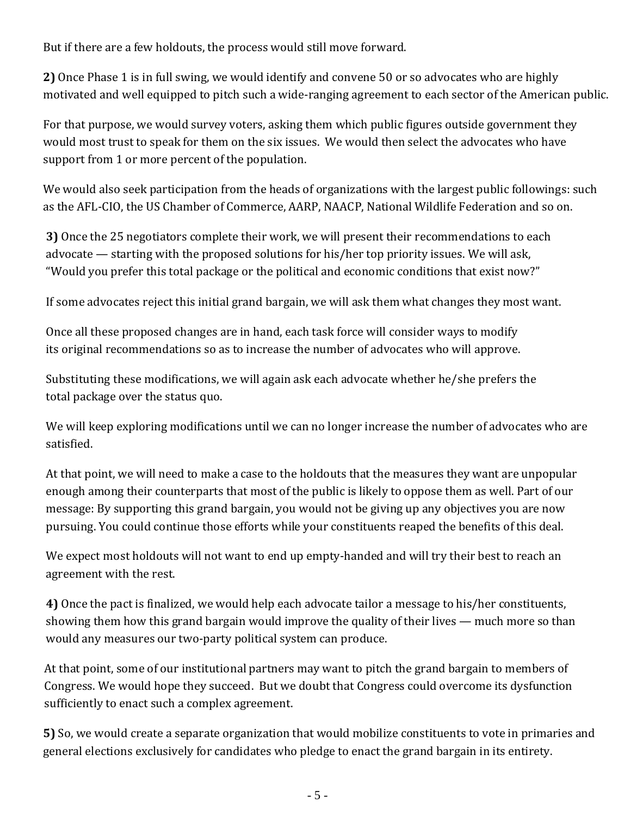But if there are a few holdouts, the process would still move forward.

**2)** Once Phase 1 is in full swing, we would identify and convene 50 or so advocates who are highly motivated and well equipped to pitch such a wide-ranging agreement to each sector of the American public.

For that purpose, we would survey voters, asking them which public figures outside government they would most trust to speak for them on the six issues. We would then select the advocates who have support from 1 or more percent of the population.

We would also seek participation from the heads of organizations with the largest public followings: such as the AFL-CIO, the US Chamber of Commerce, AARP, NAACP, National Wildlife Federation and so on.

**3)** Once the 25 negotiators complete their work, we will present their recommendations to each advocate — starting with the proposed solutions for his/her top priority issues. We will ask, "Would you prefer this total package or the political and economic conditions that exist now?"

If some advocates reject this initial grand bargain, we will ask them what changes they most want.

Once all these proposed changes are in hand, each task force will consider ways to modify its original recommendations so as to increase the number of advocates who will approve.

Substituting these modifications, we will again ask each advocate whether he/she prefers the total package over the status quo.

We will keep exploring modifications until we can no longer increase the number of advocates who are satisfied.

At that point, we will need to make a case to the holdouts that the measures they want are unpopular enough among their counterparts that most of the public is likely to oppose them as well. Part of our message: By supporting this grand bargain, you would not be giving up any objectives you are now pursuing. You could continue those efforts while your constituents reaped the benefits of this deal.

We expect most holdouts will not want to end up empty-handed and will try their best to reach an agreement with the rest.

**4)** Once the pact is finalized, we would help each advocate tailor a message to his/her constituents, showing them how this grand bargain would improve the quality of their lives — much more so than would any measures our two-party political system can produce.

At that point, some of our institutional partners may want to pitch the grand bargain to members of Congress. We would hope they succeed. But we doubt that Congress could overcome its dysfunction sufficiently to enact such a complex agreement.

**5)** So, we would create a separate organization that would mobilize constituents to vote in primaries and general elections exclusively for candidates who pledge to enact the grand bargain in its entirety.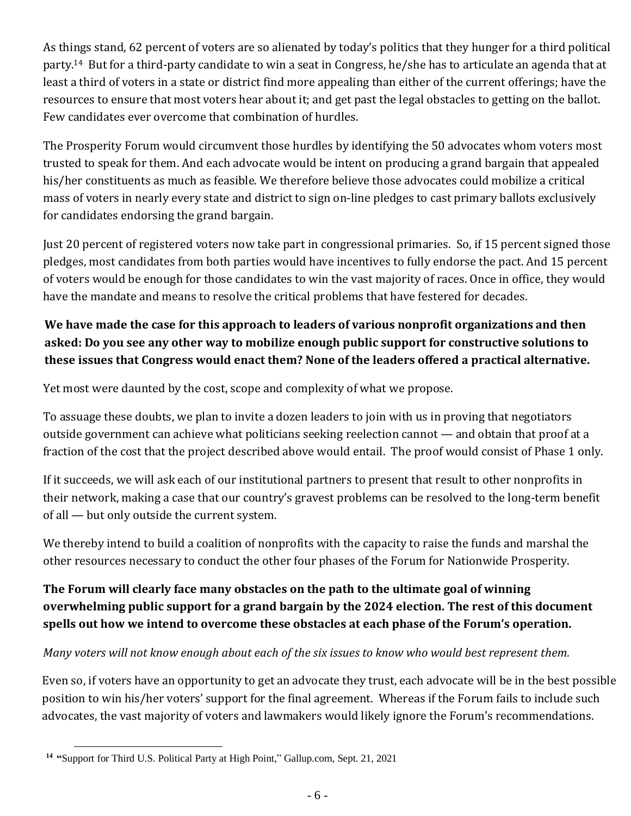As things stand, 62 percent of voters are so alienated by today's politics that they hunger for a third political party. <sup>14</sup> But for a third-party candidate to win a seat in Congress, he/she has to articulate an agenda that at least a third of voters in a state or district find more appealing than either of the current offerings; have the resources to ensure that most voters hear about it; and get past the legal obstacles to getting on the ballot. Few candidates ever overcome that combination of hurdles.

The Prosperity Forum would circumvent those hurdles by identifying the 50 advocates whom voters most trusted to speak for them. And each advocate would be intent on producing a grand bargain that appealed his/her constituents as much as feasible. We therefore believe those advocates could mobilize a critical mass of voters in nearly every state and district to sign on-line pledges to cast primary ballots exclusively for candidates endorsing the grand bargain.

Just 20 percent of registered voters now take part in congressional primaries. So, if 15 percent signed those pledges, most candidates from both parties would have incentives to fully endorse the pact. And 15 percent of voters would be enough for those candidates to win the vast majority of races. Once in office, they would have the mandate and means to resolve the critical problems that have festered for decades.

## **We have made the case for this approach to leaders of various nonprofit organizations and then asked: Do you see any other way to mobilize enough public support for constructive solutions to these issues that Congress would enact them? None of the leaders offered a practical alternative.**

Yet most were daunted by the cost, scope and complexity of what we propose.

To assuage these doubts, we plan to invite a dozen leaders to join with us in proving that negotiators outside government can achieve what politicians seeking reelection cannot — and obtain that proof at a fraction of the cost that the project described above would entail. The proof would consist of Phase 1 only.

If it succeeds, we will ask each of our institutional partners to present that result to other nonprofits in their network, making a case that our country's gravest problems can be resolved to the long-term benefit of all — but only outside the current system.

We thereby intend to build a coalition of nonprofits with the capacity to raise the funds and marshal the other resources necessary to conduct the other four phases of the Forum for Nationwide Prosperity.

## **The Forum will clearly face many obstacles on the path to the ultimate goal of winning overwhelming public support for a grand bargain by the 2024 election. The rest of this document spells out how we intend to overcome these obstacles at each phase of the Forum's operation.**

### *Many voters will not know enough about each of the six issues to know who would best represent them.*

Even so, if voters have an opportunity to get an advocate they trust, each advocate will be in the best possible position to win his/her voters' support for the final agreement. Whereas if the Forum fails to include such advocates, the vast majority of voters and lawmakers would likely ignore the Forum's recommendations.

**<sup>14</sup> "**Support for Third U.S. Political Party at High Point," Gallup.com, Sept. 21, 2021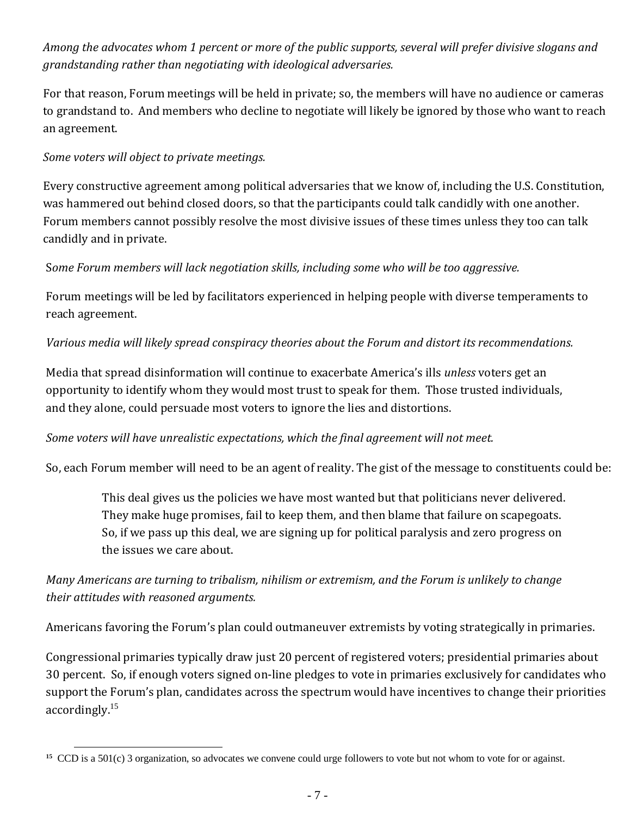## *Among the advocates whom 1 percent or more of the public supports, several will prefer divisive slogans and grandstanding rather than negotiating with ideological adversaries.*

For that reason, Forum meetings will be held in private; so, the members will have no audience or cameras to grandstand to. And members who decline to negotiate will likely be ignored by those who want to reach an agreement.

#### *Some voters will object to private meetings.*

Every constructive agreement among political adversaries that we know of, including the U.S. Constitution, was hammered out behind closed doors, so that the participants could talk candidly with one another. Forum members cannot possibly resolve the most divisive issues of these times unless they too can talk candidly and in private.

#### S*ome Forum members will lack negotiation skills, including some who will be too aggressive.*

Forum meetings will be led by facilitators experienced in helping people with diverse temperaments to reach agreement.

#### *Various media will likely spread conspiracy theories about the Forum and distort its recommendations.*

Media that spread disinformation will continue to exacerbate America's ills *unless* voters get an opportunity to identify whom they would most trust to speak for them. Those trusted individuals, and they alone, could persuade most voters to ignore the lies and distortions.

#### *Some voters will have unrealistic expectations, which the final agreement will not meet.*

So, each Forum member will need to be an agent of reality. The gist of the message to constituents could be:

This deal gives us the policies we have most wanted but that politicians never delivered. They make huge promises, fail to keep them, and then blame that failure on scapegoats. So, if we pass up this deal, we are signing up for political paralysis and zero progress on the issues we care about.

### *Many Americans are turning to tribalism, nihilism or extremism, and the Forum is unlikely to change their attitudes with reasoned arguments.*

Americans favoring the Forum's plan could outmaneuver extremists by voting strategically in primaries.

Congressional primaries typically draw just 20 percent of registered voters; presidential primaries about 30 percent. So, if enough voters signed on-line pledges to vote in primaries exclusively for candidates who support the Forum's plan, candidates across the spectrum would have incentives to change their priorities accordingly.<sup>15</sup>

**<sup>15</sup>** CCD is a 501(c) 3 organization, so advocates we convene could urge followers to vote but not whom to vote for or against.